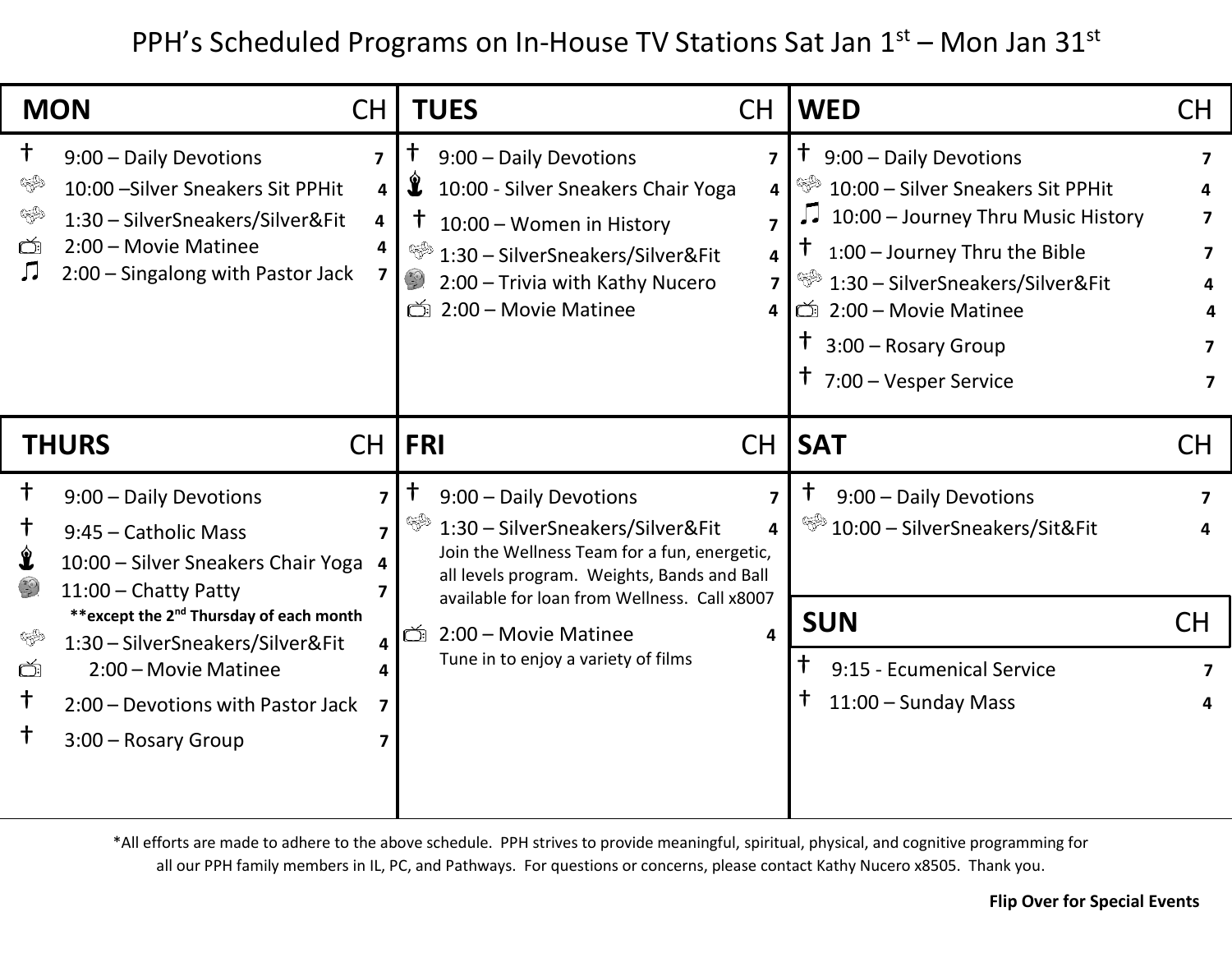PPH's Scheduled Programs on In-House TV Stations Sat Jan 1<sup>st</sup> – Mon Jan 31<sup>st</sup>

|                                     | <b>MON</b><br><b>CH</b>                                                                                                                                      |                                        | <b>TUES</b><br><b>CH</b>                                                                                                                                                                                                                                                                                                                                                                                                                                                                                                                                                                                                                                    |                                                      | <b>WED</b>                                                                                                                                                                                                                                                                                     | CH.              |
|-------------------------------------|--------------------------------------------------------------------------------------------------------------------------------------------------------------|----------------------------------------|-------------------------------------------------------------------------------------------------------------------------------------------------------------------------------------------------------------------------------------------------------------------------------------------------------------------------------------------------------------------------------------------------------------------------------------------------------------------------------------------------------------------------------------------------------------------------------------------------------------------------------------------------------------|------------------------------------------------------|------------------------------------------------------------------------------------------------------------------------------------------------------------------------------------------------------------------------------------------------------------------------------------------------|------------------|
| $^\mathsf{+}$<br>್ರಾಮಿ<br>ৎক্ষ<br>Õ | 9:00 - Daily Devotions<br>10:00 - Silver Sneakers Sit PPHit<br>1:30 - SilverSneakers/Silver&Fit<br>2:00 - Movie Matinee<br>2:00 - Singalong with Pastor Jack | 7<br>4<br>$\overline{\mathbf{4}}$<br>4 | 9:00 - Daily Devotions<br>T<br>$\mathbf{\mathbf{\hat{z}}}$<br>10:00 - Silver Sneakers Chair Yoga<br>$\ddagger$<br>10:00 - Women in History<br>S.<br>1:30 - SilverSneakers/Silver&Fit<br>$\begin{pmatrix} \n\frac{1}{2} & \frac{1}{2} & \frac{1}{2} \\ \n\frac{1}{2} & \frac{1}{2} & \frac{1}{2} \\ \n\frac{1}{2} & \frac{1}{2} & \frac{1}{2} \\ \n\frac{1}{2} & \frac{1}{2} & \frac{1}{2} \\ \n\frac{1}{2} & \frac{1}{2} & \frac{1}{2} \\ \n\frac{1}{2} & \frac{1}{2} & \frac{1}{2} \\ \n\frac{1}{2} & \frac{1}{2} & \frac{1}{2} \\ \n\frac{1}{2} & \frac{1}{2} & \frac{1}{2} \\ \n\frac{1$<br>2:00 - Trivia with Kathy Nucero<br>2:00 - Movie Matinee<br>Ď | 7<br>4<br>$\overline{7}$<br>4<br>7<br>4 <sup>1</sup> | 9:00 - Daily Devotions<br>رون<br>10:00 - Silver Sneakers Sit PPHit<br>10:00 - Journey Thru Music History<br>الولو<br>1:00 - Journey Thru the Bible<br>Þ<br>1:30 - SilverSneakers/Silver&Fit<br>ඁ 2:00 – Movie Matinee<br>$\ddagger$<br>3:00 - Rosary Group<br>$\uparrow$ 7:00 – Vesper Service | 7<br>7<br>7<br>7 |
|                                     | <b>THURS</b><br><b>CH</b>                                                                                                                                    |                                        | <b>FRI</b><br>CH                                                                                                                                                                                                                                                                                                                                                                                                                                                                                                                                                                                                                                            |                                                      | <b>SAT</b>                                                                                                                                                                                                                                                                                     | <b>CH</b>        |
|                                     |                                                                                                                                                              |                                        |                                                                                                                                                                                                                                                                                                                                                                                                                                                                                                                                                                                                                                                             |                                                      |                                                                                                                                                                                                                                                                                                |                  |
| $^\dagger$                          | 9:00 - Daily Devotions<br>9:45 - Catholic Mass<br>10:00 - Silver Sneakers Chair Yoga                                                                         | 7<br>7<br>4                            | 9:00 - Daily Devotions<br>T<br>❤️<br>1:30 - SilverSneakers/Silver&Fit<br>Join the Wellness Team for a fun, energetic,<br>all levels program. Weights, Bands and Ball                                                                                                                                                                                                                                                                                                                                                                                                                                                                                        | 7<br>4                                               | Τ<br>9:00 - Daily Devotions<br><sup>&lt;■</sup> 10:00 - SilverSneakers/Sit&Fit                                                                                                                                                                                                                 | 7                |
| ❤<br>Ć                              | $11:00$ - Chatty Patty<br>** except the 2 <sup>nd</sup> Thursday of each month<br>1:30 - SilverSneakers/Silver&Fit<br>2:00 - Movie Matinee                   | 7<br>4                                 | available for loan from Wellness. Call x8007<br>Ó<br>2:00 - Movie Matinee<br>Tune in to enjoy a variety of films                                                                                                                                                                                                                                                                                                                                                                                                                                                                                                                                            | 4                                                    | <b>SUN</b><br>9:15 - Ecumenical Service                                                                                                                                                                                                                                                        | <b>CH</b><br>7   |

\*All efforts are made to adhere to the above schedule. PPH strives to provide meaningful, spiritual, physical, and cognitive programming for all our PPH family members in IL, PC, and Pathways. For questions or concerns, please contact Kathy Nucero x8505. Thank you.